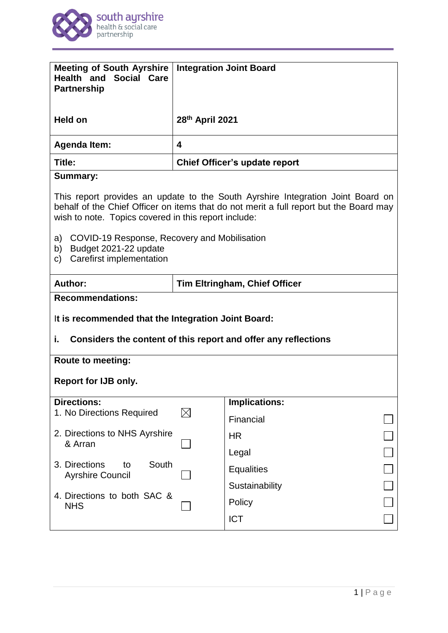

| <b>Meeting of South Ayrshire</b><br><b>Health and Social Care</b><br><b>Partnership</b>                                                                                                                                                                                                                                                                         | <b>Integration Joint Board</b> |                      |
|-----------------------------------------------------------------------------------------------------------------------------------------------------------------------------------------------------------------------------------------------------------------------------------------------------------------------------------------------------------------|--------------------------------|----------------------|
| <b>Held on</b>                                                                                                                                                                                                                                                                                                                                                  | 28th April 2021                |                      |
| <b>Agenda Item:</b>                                                                                                                                                                                                                                                                                                                                             | 4                              |                      |
| Title:                                                                                                                                                                                                                                                                                                                                                          | Chief Officer's update report  |                      |
| <b>Summary:</b>                                                                                                                                                                                                                                                                                                                                                 |                                |                      |
| This report provides an update to the South Ayrshire Integration Joint Board on<br>behalf of the Chief Officer on items that do not merit a full report but the Board may<br>wish to note. Topics covered in this report include:<br>a)<br>COVID-19 Response, Recovery and Mobilisation<br>Budget 2021-22 update<br>b)<br><b>Carefirst implementation</b><br>C) |                                |                      |
| Author:<br><b>Tim Eltringham, Chief Officer</b>                                                                                                                                                                                                                                                                                                                 |                                |                      |
| <b>Recommendations:</b><br>It is recommended that the Integration Joint Board:<br>i.<br>Considers the content of this report and offer any reflections                                                                                                                                                                                                          |                                |                      |
| <b>Route to meeting:</b>                                                                                                                                                                                                                                                                                                                                        |                                |                      |
| <b>Report for IJB only.</b>                                                                                                                                                                                                                                                                                                                                     |                                |                      |
| <b>Directions:</b>                                                                                                                                                                                                                                                                                                                                              |                                | <b>Implications:</b> |
| 1. No Directions Required                                                                                                                                                                                                                                                                                                                                       | $\boxtimes$                    | Financial            |
| 2. Directions to NHS Ayrshire<br>& Arran                                                                                                                                                                                                                                                                                                                        |                                | <b>HR</b>            |
| South<br>3. Directions<br>to                                                                                                                                                                                                                                                                                                                                    |                                | Legal                |
| <b>Ayrshire Council</b>                                                                                                                                                                                                                                                                                                                                         |                                | <b>Equalities</b>    |
| 4. Directions to both SAC &<br><b>NHS</b>                                                                                                                                                                                                                                                                                                                       |                                | Sustainability       |
|                                                                                                                                                                                                                                                                                                                                                                 |                                | Policy               |
|                                                                                                                                                                                                                                                                                                                                                                 |                                | <b>ICT</b>           |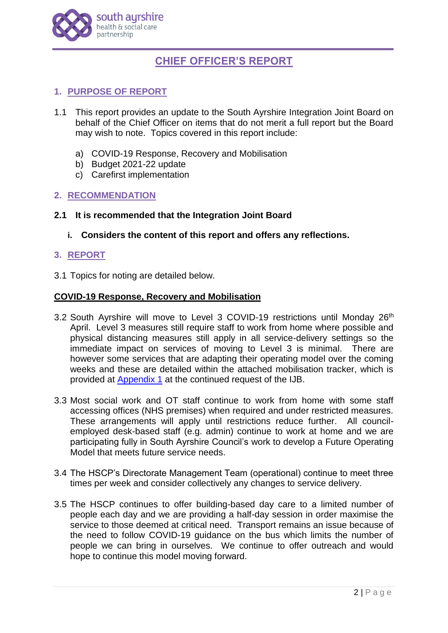

# **CHIEF OFFICER'S REPORT**

# **1. PURPOSE OF REPORT**

- 1.1 This report provides an update to the South Ayrshire Integration Joint Board on behalf of the Chief Officer on items that do not merit a full report but the Board may wish to note. Topics covered in this report include:
	- a) COVID-19 Response, Recovery and Mobilisation
	- b) Budget 2021-22 update
	- c) Carefirst implementation

#### **2. RECOMMENDATION**

- **2.1 It is recommended that the Integration Joint Board**
	- **i. Considers the content of this report and offers any reflections.**

#### **3. REPORT**

3.1 Topics for noting are detailed below.

#### **COVID-19 Response, Recovery and Mobilisation**

- 3.2 South Ayrshire will move to Level 3 COVID-19 restrictions until Monday 26<sup>th</sup> April. Level 3 measures still require staff to work from home where possible and physical distancing measures still apply in all service-delivery settings so the immediate impact on services of moving to Level 3 is minimal. There are however some services that are adapting their operating model over the coming weeks and these are detailed within the attached mobilisation tracker, which is provided at **Appendix 1** at the continued request of the IJB.
- 3.3 Most social work and OT staff continue to work from home with some staff accessing offices (NHS premises) when required and under restricted measures. These arrangements will apply until restrictions reduce further. All councilemployed desk-based staff (e.g. admin) continue to work at home and we are participating fully in South Ayrshire Council's work to develop a Future Operating Model that meets future service needs.
- 3.4 The HSCP's Directorate Management Team (operational) continue to meet three times per week and consider collectively any changes to service delivery.
- 3.5 The HSCP continues to offer building-based day care to a limited number of people each day and we are providing a half-day session in order maximise the service to those deemed at critical need. Transport remains an issue because of the need to follow COVID-19 guidance on the bus which limits the number of people we can bring in ourselves. We continue to offer outreach and would hope to continue this model moving forward.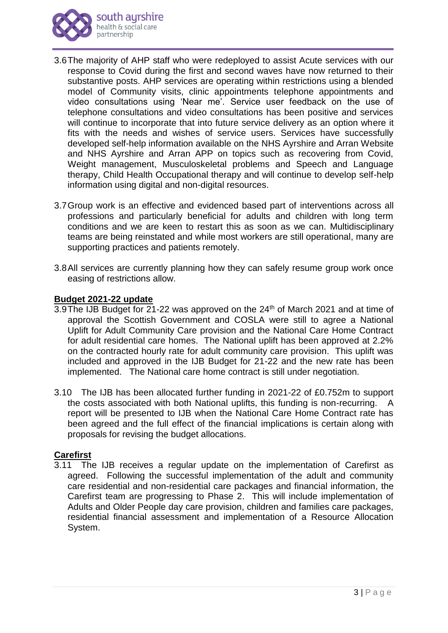

- 3.6The majority of AHP staff who were redeployed to assist Acute services with our response to Covid during the first and second waves have now returned to their substantive posts. AHP services are operating within restrictions using a blended model of Community visits, clinic appointments telephone appointments and video consultations using 'Near me'. Service user feedback on the use of telephone consultations and video consultations has been positive and services will continue to incorporate that into future service delivery as an option where it fits with the needs and wishes of service users. Services have successfully developed self-help information available on the NHS Ayrshire and Arran Website and NHS Ayrshire and Arran APP on topics such as recovering from Covid, Weight management, Musculoskeletal problems and Speech and Language therapy, Child Health Occupational therapy and will continue to develop self-help information using digital and non-digital resources.
- 3.7Group work is an effective and evidenced based part of interventions across all professions and particularly beneficial for adults and children with long term conditions and we are keen to restart this as soon as we can. Multidisciplinary teams are being reinstated and while most workers are still operational, many are supporting practices and patients remotely.
- 3.8All services are currently planning how they can safely resume group work once easing of restrictions allow.

## **Budget 2021-22 update**

- 3.9The IJB Budget for  $21$ -22 was approved on the  $24<sup>th</sup>$  of March 2021 and at time of approval the Scottish Government and COSLA were still to agree a National Uplift for Adult Community Care provision and the National Care Home Contract for adult residential care homes. The National uplift has been approved at 2.2% on the contracted hourly rate for adult community care provision. This uplift was included and approved in the IJB Budget for 21-22 and the new rate has been implemented. The National care home contract is still under negotiation.
- 3.10 The IJB has been allocated further funding in 2021-22 of £0.752m to support the costs associated with both National uplifts, this funding is non-recurring. A report will be presented to IJB when the National Care Home Contract rate has been agreed and the full effect of the financial implications is certain along with proposals for revising the budget allocations.

## **Carefirst**

3.11 The IJB receives a regular update on the implementation of Carefirst as agreed. Following the successful implementation of the adult and community care residential and non-residential care packages and financial information, the Carefirst team are progressing to Phase 2. This will include implementation of Adults and Older People day care provision, children and families care packages, residential financial assessment and implementation of a Resource Allocation System.